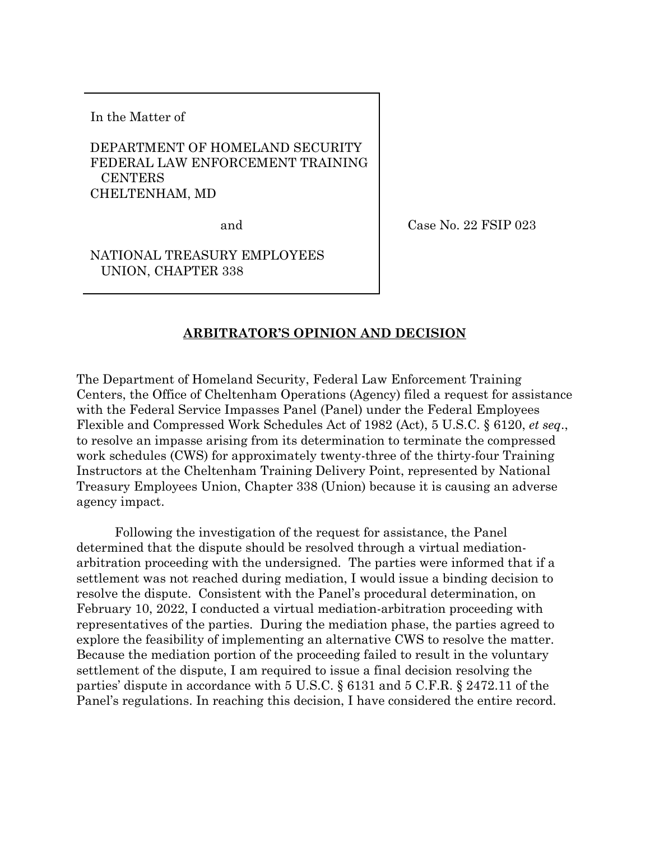In the Matter of

# DEPARTMENT OF HOMELAND SECURITY FEDERAL LAW ENFORCEMENT TRAINING **CENTERS** CHELTENHAM, MD

and

Case No. 22 FSIP 023

NATIONAL TREASURY EMPLOYEES UNION, CHAPTER 338

## **ARBITRATOR'S OPINION AND DECISION**

The Department of Homeland Security, Federal Law Enforcement Training Centers, the Office of Cheltenham Operations (Agency) filed a request for assistance with the Federal Service Impasses Panel (Panel) under the Federal Employees Flexible and Compressed Work Schedules Act of 1982 (Act), 5 U.S.C. § 6120, *et seq*., to resolve an impasse arising from its determination to terminate the compressed work schedules (CWS) for approximately twenty-three of the thirty-four Training Instructors at the Cheltenham Training Delivery Point, represented by National Treasury Employees Union, Chapter 338 (Union) because it is causing an adverse agency impact.

Following the investigation of the request for assistance, the Panel determined that the dispute should be resolved through a virtual mediationarbitration proceeding with the undersigned. The parties were informed that if a settlement was not reached during mediation, I would issue a binding decision to resolve the dispute. Consistent with the Panel's procedural determination, on February 10, 2022, I conducted a virtual mediation-arbitration proceeding with representatives of the parties. During the mediation phase, the parties agreed to explore the feasibility of implementing an alternative CWS to resolve the matter. Because the mediation portion of the proceeding failed to result in the voluntary settlement of the dispute, I am required to issue a final decision resolving the parties' dispute in accordance with 5 U.S.C. § 6131 and 5 C.F.R. § 2472.11 of the Panel's regulations. In reaching this decision, I have considered the entire record.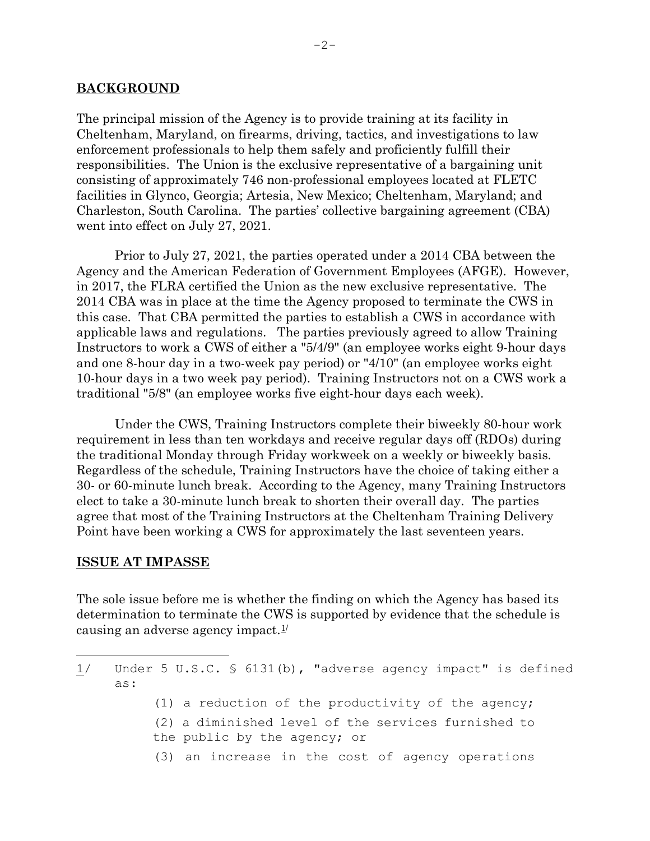### **BACKGROUND**

The principal mission of the Agency is to provide training at its facility in Cheltenham, Maryland, on firearms, driving, tactics, and investigations to law enforcement professionals to help them safely and proficiently fulfill their responsibilities. The Union is the exclusive representative of a bargaining unit consisting of approximately 746 non-professional employees located at FLETC facilities in Glynco, Georgia; Artesia, New Mexico; Cheltenham, Maryland; and Charleston, South Carolina. The parties' collective bargaining agreement (CBA) went into effect on July 27, 2021.

Prior to July 27, 2021, the parties operated under a 2014 CBA between the Agency and the American Federation of Government Employees (AFGE). However, in 2017, the FLRA certified the Union as the new exclusive representative. The 2014 CBA was in place at the time the Agency proposed to terminate the CWS in this case. That CBA permitted the parties to establish a CWS in accordance with applicable laws and regulations. The parties previously agreed to allow Training Instructors to work a CWS of either a "5/4/9" (an employee works eight 9-hour days and one 8-hour day in a two-week pay period) or "4/10" (an employee works eight 10-hour days in a two week pay period). Training Instructors not on a CWS work a traditional "5/8" (an employee works five eight-hour days each week).

Under the CWS, Training Instructors complete their biweekly 80-hour work requirement in less than ten workdays and receive regular days off (RDOs) during the traditional Monday through Friday workweek on a weekly or biweekly basis. Regardless of the schedule, Training Instructors have the choice of taking either a 30- or 60-minute lunch break. According to the Agency, many Training Instructors elect to take a 30-minute lunch break to shorten their overall day. The parties agree that most of the Training Instructors at the Cheltenham Training Delivery Point have been working a CWS for approximately the last seventeen years.

#### **ISSUE AT IMPASSE**

The sole issue before me is whether the finding on which the Agency has based its determination to terminate the CWS is supported by evidence that the schedule is causing an adverse agency impact. $1/$  $1/$ 

- (1) a reduction of the productivity of the agency;
- (2) a diminished level of the services furnished to the public by the agency; or
- (3) an increase in the cost of agency operations

<span id="page-1-0"></span>Ĩ. 1/ Under 5 U.S.C. § 6131(b), "adverse agency impact" is defined as: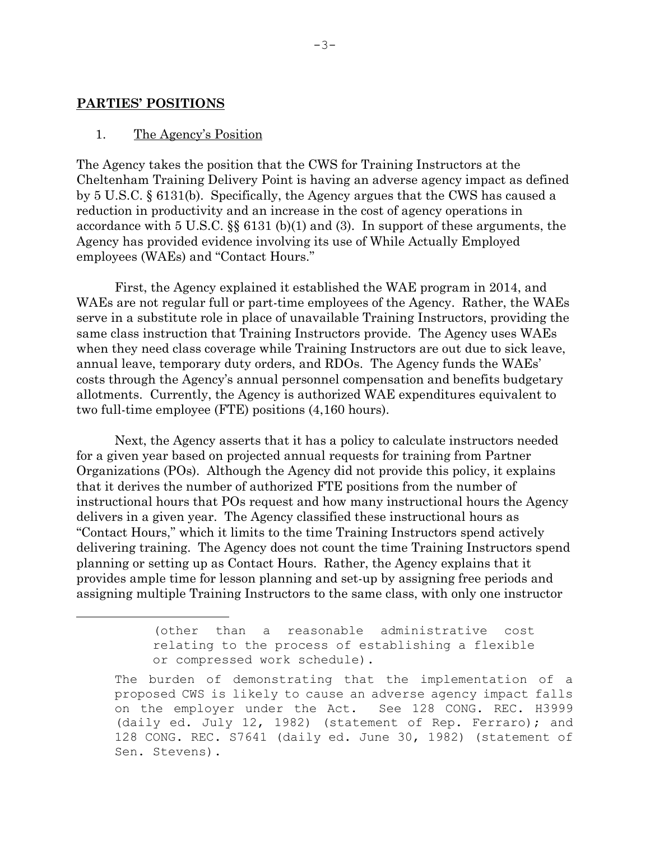### **PARTIES' POSITIONS**

Ĩ.

#### 1. The Agency's Position

The Agency takes the position that the CWS for Training Instructors at the Cheltenham Training Delivery Point is having an adverse agency impact as defined by 5 U.S.C. § 6131(b). Specifically, the Agency argues that the CWS has caused a reduction in productivity and an increase in the cost of agency operations in accordance with 5 U.S.C. §§ 6131 (b)(1) and (3). In support of these arguments, the Agency has provided evidence involving its use of While Actually Employed employees (WAEs) and "Contact Hours."

First, the Agency explained it established the WAE program in 2014, and WAEs are not regular full or part-time employees of the Agency. Rather, the WAEs serve in a substitute role in place of unavailable Training Instructors, providing the same class instruction that Training Instructors provide. The Agency uses WAEs when they need class coverage while Training Instructors are out due to sick leave, annual leave, temporary duty orders, and RDOs. The Agency funds the WAEs' costs through the Agency's annual personnel compensation and benefits budgetary allotments. Currently, the Agency is authorized WAE expenditures equivalent to two full-time employee (FTE) positions (4,160 hours).

Next, the Agency asserts that it has a policy to calculate instructors needed for a given year based on projected annual requests for training from Partner Organizations (POs). Although the Agency did not provide this policy, it explains that it derives the number of authorized FTE positions from the number of instructional hours that POs request and how many instructional hours the Agency delivers in a given year. The Agency classified these instructional hours as "Contact Hours," which it limits to the time Training Instructors spend actively delivering training. The Agency does not count the time Training Instructors spend planning or setting up as Contact Hours. Rather, the Agency explains that it provides ample time for lesson planning and set-up by assigning free periods and assigning multiple Training Instructors to the same class, with only one instructor

> (other than a reasonable administrative cost relating to the process of establishing a flexible or compressed work schedule).

The burden of demonstrating that the implementation of a proposed CWS is likely to cause an adverse agency impact falls<br>on the employer under the Act. See 128 CONG. REC. H3999 on the employer under the Act. (daily ed. July 12, 1982) (statement of Rep. Ferraro); and 128 CONG. REC. S7641 (daily ed. June 30, 1982) (statement of Sen. Stevens).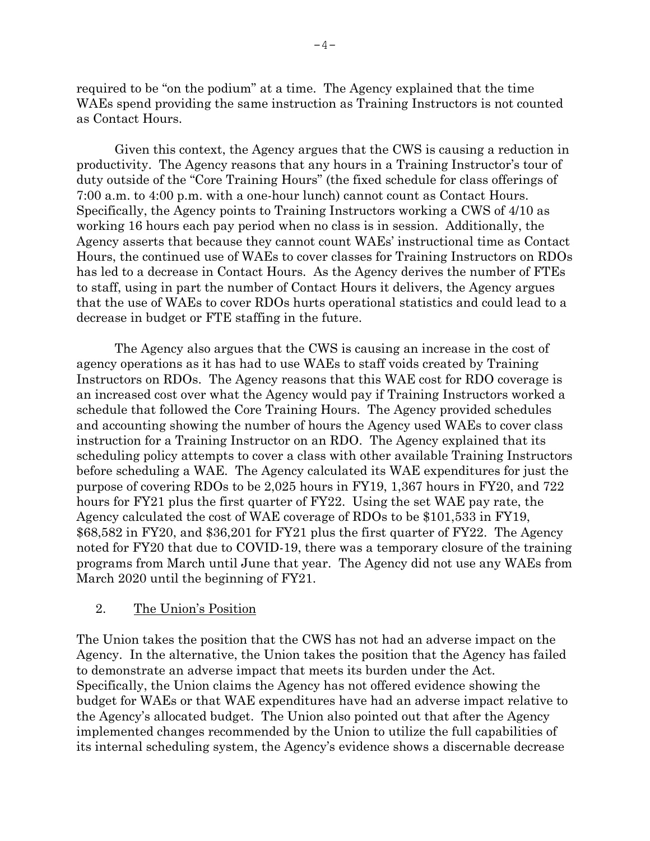required to be "on the podium" at a time. The Agency explained that the time WAEs spend providing the same instruction as Training Instructors is not counted as Contact Hours.

Given this context, the Agency argues that the CWS is causing a reduction in productivity. The Agency reasons that any hours in a Training Instructor's tour of duty outside of the "Core Training Hours" (the fixed schedule for class offerings of 7:00 a.m. to 4:00 p.m. with a one-hour lunch) cannot count as Contact Hours. Specifically, the Agency points to Training Instructors working a CWS of 4/10 as working 16 hours each pay period when no class is in session. Additionally, the Agency asserts that because they cannot count WAEs' instructional time as Contact Hours, the continued use of WAEs to cover classes for Training Instructors on RDOs has led to a decrease in Contact Hours. As the Agency derives the number of FTEs to staff, using in part the number of Contact Hours it delivers, the Agency argues that the use of WAEs to cover RDOs hurts operational statistics and could lead to a decrease in budget or FTE staffing in the future.

The Agency also argues that the CWS is causing an increase in the cost of agency operations as it has had to use WAEs to staff voids created by Training Instructors on RDOs. The Agency reasons that this WAE cost for RDO coverage is an increased cost over what the Agency would pay if Training Instructors worked a schedule that followed the Core Training Hours. The Agency provided schedules and accounting showing the number of hours the Agency used WAEs to cover class instruction for a Training Instructor on an RDO. The Agency explained that its scheduling policy attempts to cover a class with other available Training Instructors before scheduling a WAE. The Agency calculated its WAE expenditures for just the purpose of covering RDOs to be 2,025 hours in FY19, 1,367 hours in FY20, and 722 hours for FY21 plus the first quarter of FY22. Using the set WAE pay rate, the Agency calculated the cost of WAE coverage of RDOs to be \$101,533 in FY19, \$68,582 in FY20, and \$36,201 for FY21 plus the first quarter of FY22. The Agency noted for FY20 that due to COVID-19, there was a temporary closure of the training programs from March until June that year. The Agency did not use any WAEs from March 2020 until the beginning of FY21.

## 2. The Union's Position

The Union takes the position that the CWS has not had an adverse impact on the Agency. In the alternative, the Union takes the position that the Agency has failed to demonstrate an adverse impact that meets its burden under the Act. Specifically, the Union claims the Agency has not offered evidence showing the budget for WAEs or that WAE expenditures have had an adverse impact relative to the Agency's allocated budget. The Union also pointed out that after the Agency implemented changes recommended by the Union to utilize the full capabilities of its internal scheduling system, the Agency's evidence shows a discernable decrease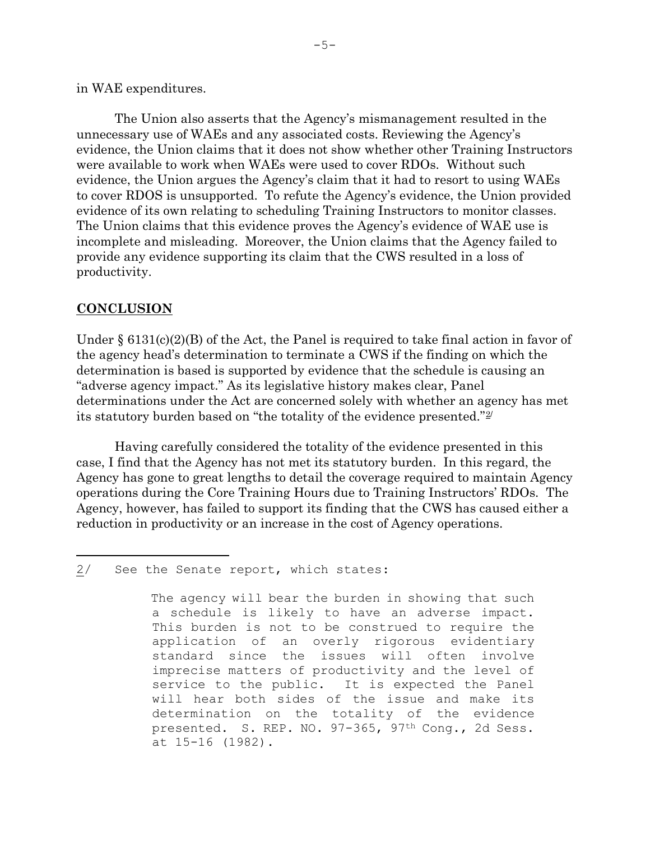## in WAE expenditures.

The Union also asserts that the Agency's mismanagement resulted in the unnecessary use of WAEs and any associated costs. Reviewing the Agency's evidence, the Union claims that it does not show whether other Training Instructors were available to work when WAEs were used to cover RDOs. Without such evidence, the Union argues the Agency's claim that it had to resort to using WAEs to cover RDOS is unsupported. To refute the Agency's evidence, the Union provided evidence of its own relating to scheduling Training Instructors to monitor classes. The Union claims that this evidence proves the Agency's evidence of WAE use is incomplete and misleading. Moreover, the Union claims that the Agency failed to provide any evidence supporting its claim that the CWS resulted in a loss of productivity.

# **CONCLUSION**

Under  $\S 6131(c)(2)(B)$  of the Act, the Panel is required to take final action in favor of the agency head's determination to terminate a CWS if the finding on which the determination is based is supported by evidence that the schedule is causing an "adverse agency impact." As its legislative history makes clear, Panel determinations under the Act are concerned solely with whether an agency has met its statutory burden based on "the totality of the evidence presented."[2](#page-4-0)/

Having carefully considered the totality of the evidence presented in this case, I find that the Agency has not met its statutory burden. In this regard, the Agency has gone to great lengths to detail the coverage required to maintain Agency operations during the Core Training Hours due to Training Instructors' RDOs. The Agency, however, has failed to support its finding that the CWS has caused either a reduction in productivity or an increase in the cost of Agency operations.

<span id="page-4-0"></span>Ĩ. 2/ See the Senate report, which states:

> The agency will bear the burden in showing that such a schedule is likely to have an adverse impact. This burden is not to be construed to require the<br>application of an overly rigorous evidentiary an overly rigorous evidentiary standard since the issues will often involve imprecise matters of productivity and the level of<br>service to the public. It is expected the Panel It is expected the Panel will hear both sides of the issue and make its determination on the totality of the evidence presented. S. REP. NO. 97-365, 97th Cong., 2d Sess. at 15-16 (1982).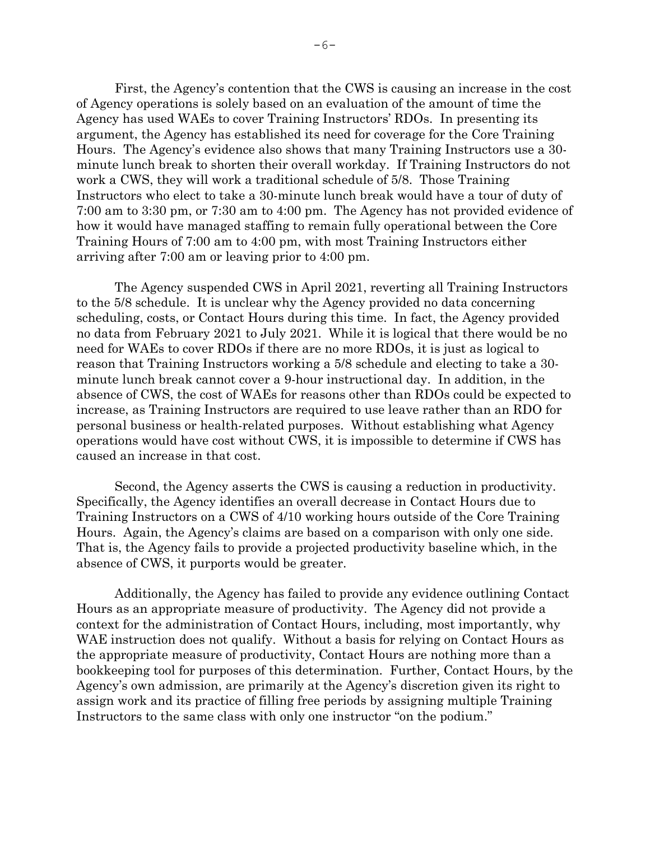First, the Agency's contention that the CWS is causing an increase in the cost of Agency operations is solely based on an evaluation of the amount of time the Agency has used WAEs to cover Training Instructors' RDOs. In presenting its argument, the Agency has established its need for coverage for the Core Training Hours. The Agency's evidence also shows that many Training Instructors use a 30 minute lunch break to shorten their overall workday. If Training Instructors do not work a CWS, they will work a traditional schedule of 5/8. Those Training Instructors who elect to take a 30-minute lunch break would have a tour of duty of 7:00 am to 3:30 pm, or 7:30 am to 4:00 pm. The Agency has not provided evidence of how it would have managed staffing to remain fully operational between the Core Training Hours of 7:00 am to 4:00 pm, with most Training Instructors either arriving after 7:00 am or leaving prior to 4:00 pm.

The Agency suspended CWS in April 2021, reverting all Training Instructors to the 5/8 schedule. It is unclear why the Agency provided no data concerning scheduling, costs, or Contact Hours during this time. In fact, the Agency provided no data from February 2021 to July 2021. While it is logical that there would be no need for WAEs to cover RDOs if there are no more RDOs, it is just as logical to reason that Training Instructors working a 5/8 schedule and electing to take a 30 minute lunch break cannot cover a 9-hour instructional day. In addition, in the absence of CWS, the cost of WAEs for reasons other than RDOs could be expected to increase, as Training Instructors are required to use leave rather than an RDO for personal business or health-related purposes. Without establishing what Agency operations would have cost without CWS, it is impossible to determine if CWS has caused an increase in that cost.

Second, the Agency asserts the CWS is causing a reduction in productivity. Specifically, the Agency identifies an overall decrease in Contact Hours due to Training Instructors on a CWS of 4/10 working hours outside of the Core Training Hours. Again, the Agency's claims are based on a comparison with only one side. That is, the Agency fails to provide a projected productivity baseline which, in the absence of CWS, it purports would be greater.

Additionally, the Agency has failed to provide any evidence outlining Contact Hours as an appropriate measure of productivity. The Agency did not provide a context for the administration of Contact Hours, including, most importantly, why WAE instruction does not qualify. Without a basis for relying on Contact Hours as the appropriate measure of productivity, Contact Hours are nothing more than a bookkeeping tool for purposes of this determination. Further, Contact Hours, by the Agency's own admission, are primarily at the Agency's discretion given its right to assign work and its practice of filling free periods by assigning multiple Training Instructors to the same class with only one instructor "on the podium."